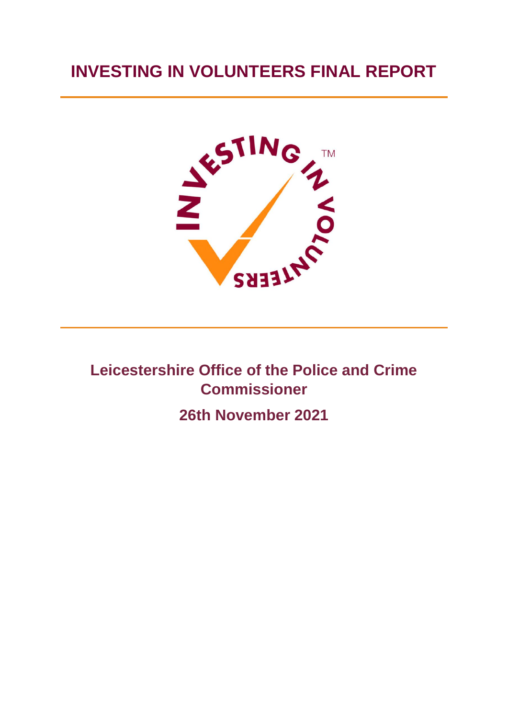# **INVESTING IN VOLUNTEERS FINAL REPORT**



**Leicestershire Office of the Police and Crime Commissioner**

**26th November 2021**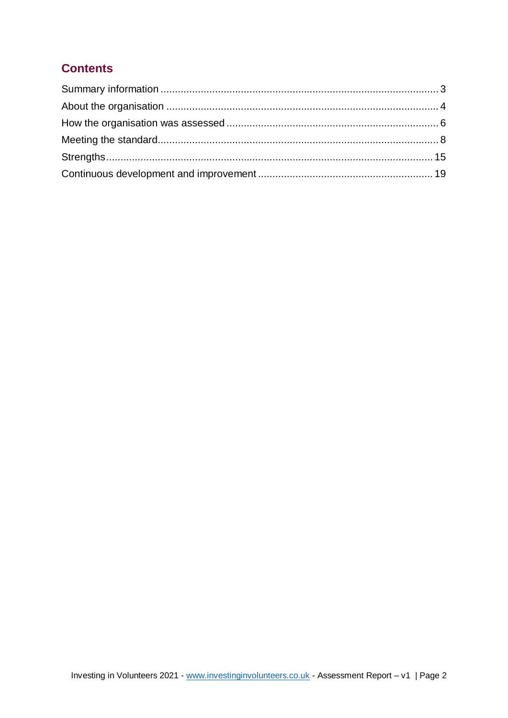# **Contents**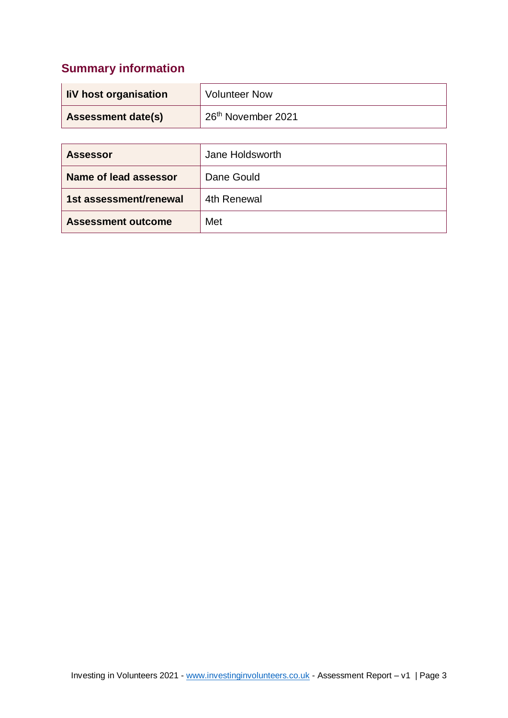# <span id="page-2-0"></span>**Summary information**

| liV host organisation     | <b>Volunteer Now</b>           |
|---------------------------|--------------------------------|
| <b>Assessment date(s)</b> | 26 <sup>th</sup> November 2021 |

| <b>Assessor</b>           | Jane Holdsworth |
|---------------------------|-----------------|
| Name of lead assessor     | Dane Gould      |
| 1st assessment/renewal    | 4th Renewal     |
| <b>Assessment outcome</b> | Met             |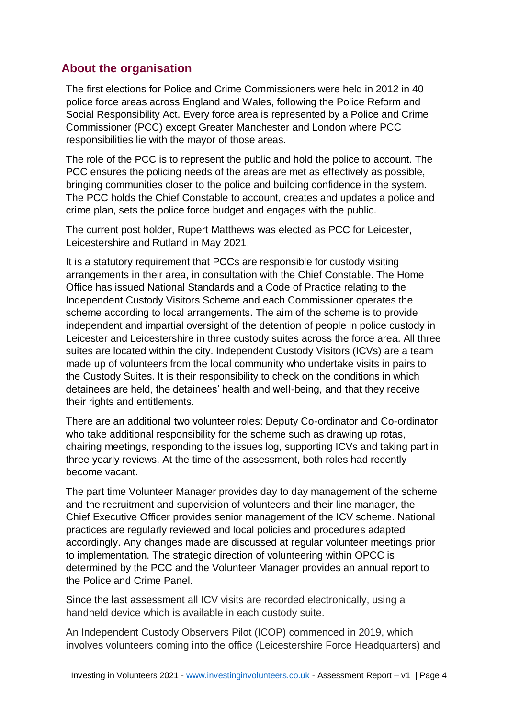## <span id="page-3-0"></span>**About the organisation**

The first elections for Police and Crime Commissioners were held in 2012 in 40 police force areas across England and Wales, following the Police Reform and Social Responsibility Act. Every force area is represented by a Police and Crime Commissioner (PCC) except Greater Manchester and London where PCC responsibilities lie with the mayor of those areas.

The role of the PCC is to represent the public and hold the police to account. The PCC ensures the policing needs of the areas are met as effectively as possible, bringing communities closer to the police and building confidence in the system. The PCC holds the Chief Constable to account, creates and updates a police and crime plan, sets the police force budget and engages with the public.

The current post holder, Rupert Matthews was elected as PCC for Leicester, Leicestershire and Rutland in May 2021.

It is a statutory requirement that PCCs are responsible for custody visiting arrangements in their area, in consultation with the Chief Constable. The Home Office has issued National Standards and a Code of Practice relating to the Independent Custody Visitors Scheme and each Commissioner operates the scheme according to local arrangements. The aim of the scheme is to provide independent and impartial oversight of the detention of people in police custody in Leicester and Leicestershire in three custody suites across the force area. All three suites are located within the city. Independent Custody Visitors (ICVs) are a team made up of volunteers from the local community who undertake visits in pairs to the Custody Suites. It is their responsibility to check on the conditions in which detainees are held, the detainees' health and well-being, and that they receive their rights and entitlements.

There are an additional two volunteer roles: Deputy Co-ordinator and Co-ordinator who take additional responsibility for the scheme such as drawing up rotas, chairing meetings, responding to the issues log, supporting ICVs and taking part in three yearly reviews. At the time of the assessment, both roles had recently become vacant.

The part time Volunteer Manager provides day to day management of the scheme and the recruitment and supervision of volunteers and their line manager, the Chief Executive Officer provides senior management of the ICV scheme. National practices are regularly reviewed and local policies and procedures adapted accordingly. Any changes made are discussed at regular volunteer meetings prior to implementation. The strategic direction of volunteering within OPCC is determined by the PCC and the Volunteer Manager provides an annual report to the Police and Crime Panel.

Since the last assessment all ICV visits are recorded electronically, using a handheld device which is available in each custody suite.

An Independent Custody Observers Pilot (ICOP) commenced in 2019, which involves volunteers coming into the office (Leicestershire Force Headquarters) and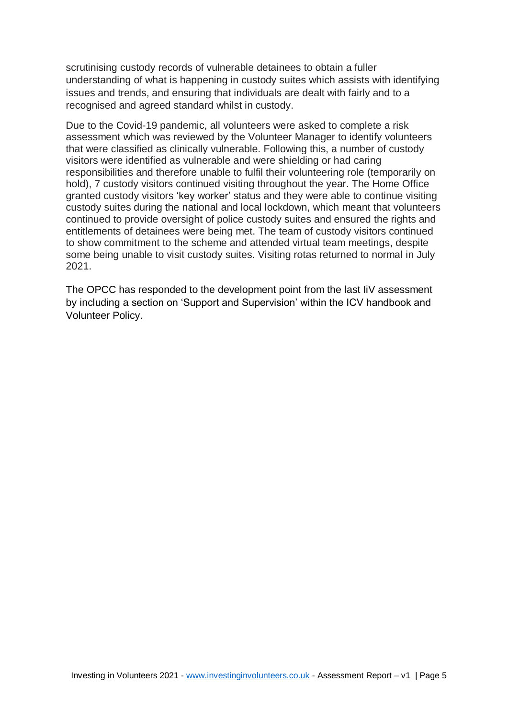scrutinising custody records of vulnerable detainees to obtain a fuller understanding of what is happening in custody suites which assists with identifying issues and trends, and ensuring that individuals are dealt with fairly and to a recognised and agreed standard whilst in custody.

Due to the Covid-19 pandemic, all volunteers were asked to complete a risk assessment which was reviewed by the Volunteer Manager to identify volunteers that were classified as clinically vulnerable. Following this, a number of custody visitors were identified as vulnerable and were shielding or had caring responsibilities and therefore unable to fulfil their volunteering role (temporarily on hold), 7 custody visitors continued visiting throughout the year. The Home Office granted custody visitors 'key worker' status and they were able to continue visiting custody suites during the national and local lockdown, which meant that volunteers continued to provide oversight of police custody suites and ensured the rights and entitlements of detainees were being met. The team of custody visitors continued to show commitment to the scheme and attended virtual team meetings, despite some being unable to visit custody suites. Visiting rotas returned to normal in July 2021.

<span id="page-4-0"></span>The OPCC has responded to the development point from the last IiV assessment by including a section on 'Support and Supervision' within the ICV handbook and Volunteer Policy.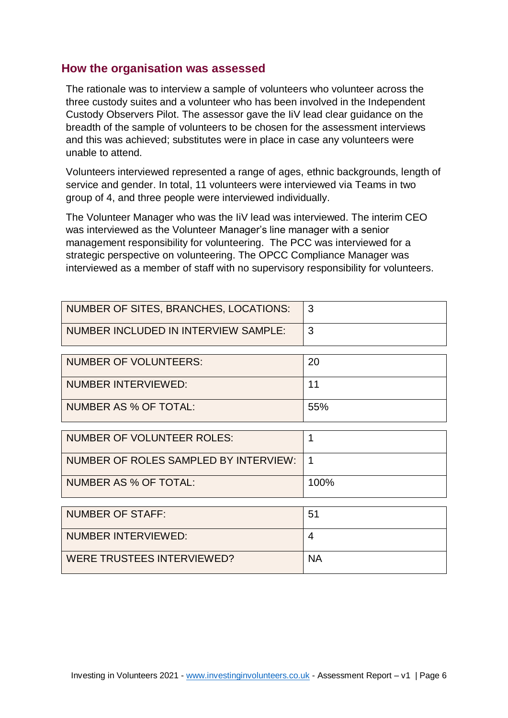#### **How the organisation was assessed**

The rationale was to interview a sample of volunteers who volunteer across the three custody suites and a volunteer who has been involved in the Independent Custody Observers Pilot. The assessor gave the IiV lead clear guidance on the breadth of the sample of volunteers to be chosen for the assessment interviews and this was achieved; substitutes were in place in case any volunteers were unable to attend.

Volunteers interviewed represented a range of ages, ethnic backgrounds, length of service and gender. In total, 11 volunteers were interviewed via Teams in two group of 4, and three people were interviewed individually.

The Volunteer Manager who was the IiV lead was interviewed. The interim CEO was interviewed as the Volunteer Manager's line manager with a senior management responsibility for volunteering. The PCC was interviewed for a strategic perspective on volunteering. The OPCC Compliance Manager was interviewed as a member of staff with no supervisory responsibility for volunteers.

| NUMBER OF SITES, BRANCHES, LOCATIONS: |  |
|---------------------------------------|--|
| NUMBER INCLUDED IN INTERVIEW SAMPLE:  |  |

| NUMBER OF VOLUNTEERS: | 20   |
|-----------------------|------|
| NUMBER INTERVIEWED:   | 11   |
| NUMBER AS % OF TOTAL: | .55% |

| NUMBER OF VOLUNTEER ROLES:                |      |
|-------------------------------------------|------|
| NUMBER OF ROLES SAMPLED BY INTERVIEW:   1 |      |
| NUMBER AS % OF TOTAL:                     | 100% |

| NUMBER OF STAFF:           | 51        |
|----------------------------|-----------|
| NUMBER INTERVIEWED:        |           |
| WERE TRUSTEES INTERVIEWED? | <b>NA</b> |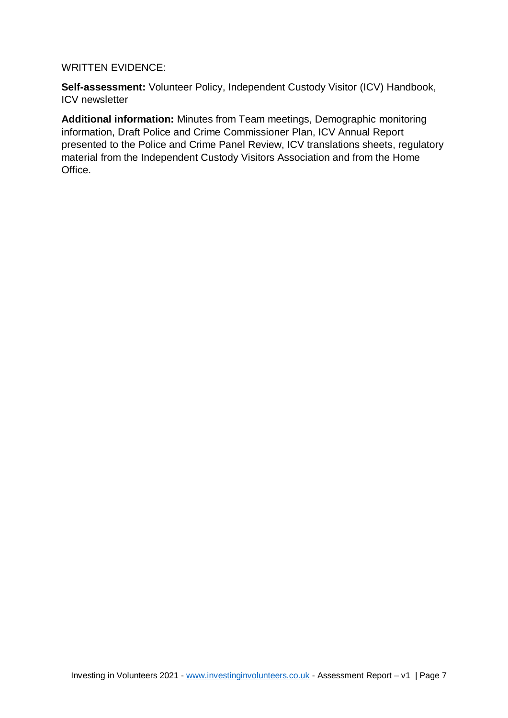#### WRITTEN EVIDENCE:

**Self-assessment:** Volunteer Policy, Independent Custody Visitor (ICV) Handbook, ICV newsletter

<span id="page-6-0"></span>**Additional information:** Minutes from Team meetings, Demographic monitoring information, Draft Police and Crime Commissioner Plan, ICV Annual Report presented to the Police and Crime Panel Review, ICV translations sheets, regulatory material from the Independent Custody Visitors Association and from the Home Office.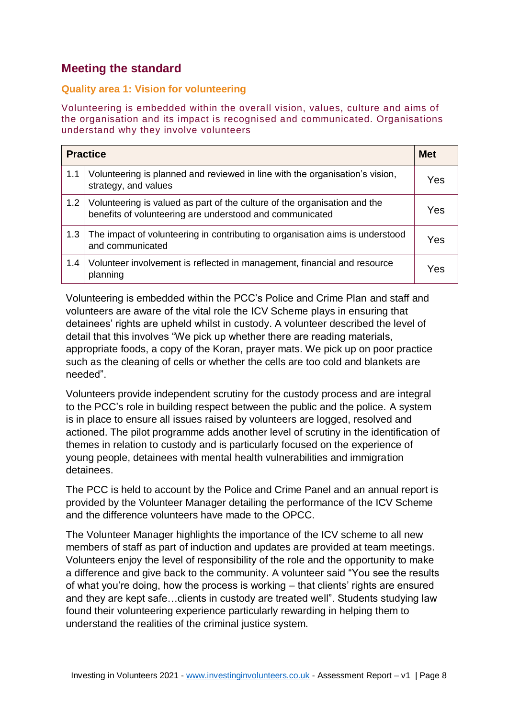# **Meeting the standard**

#### **Quality area 1: Vision for volunteering**

Volunteering is embedded within the overall vision, values, culture and aims of the organisation and its impact is recognised and communicated. Organisations understand why they involve volunteers

|                  | <b>Practice</b>                                                                                                                       | <b>Met</b> |
|------------------|---------------------------------------------------------------------------------------------------------------------------------------|------------|
| 1.1              | Volunteering is planned and reviewed in line with the organisation's vision,<br>strategy, and values                                  | Yes        |
| 1.2 <sub>1</sub> | Volunteering is valued as part of the culture of the organisation and the<br>benefits of volunteering are understood and communicated | Yes        |
| 1.3              | The impact of volunteering in contributing to organisation aims is understood<br>and communicated                                     | Yes        |
| 1.4              | Volunteer involvement is reflected in management, financial and resource<br>planning                                                  | Yes        |

Volunteering is embedded within the PCC's Police and Crime Plan and staff and volunteers are aware of the vital role the ICV Scheme plays in ensuring that detainees' rights are upheld whilst in custody. A volunteer described the level of detail that this involves "We pick up whether there are reading materials, appropriate foods, a copy of the Koran, prayer mats. We pick up on poor practice such as the cleaning of cells or whether the cells are too cold and blankets are needed".

Volunteers provide independent scrutiny for the custody process and are integral to the PCC's role in building respect between the public and the police. A system is in place to ensure all issues raised by volunteers are logged, resolved and actioned. The pilot programme adds another level of scrutiny in the identification of themes in relation to custody and is particularly focused on the experience of young people, detainees with mental health vulnerabilities and immigration detainees.

The PCC is held to account by the Police and Crime Panel and an annual report is provided by the Volunteer Manager detailing the performance of the ICV Scheme and the difference volunteers have made to the OPCC.

The Volunteer Manager highlights the importance of the ICV scheme to all new members of staff as part of induction and updates are provided at team meetings. Volunteers enjoy the level of responsibility of the role and the opportunity to make a difference and give back to the community. A volunteer said "You see the results of what you're doing, how the process is working – that clients' rights are ensured and they are kept safe…clients in custody are treated well". Students studying law found their volunteering experience particularly rewarding in helping them to understand the realities of the criminal justice system.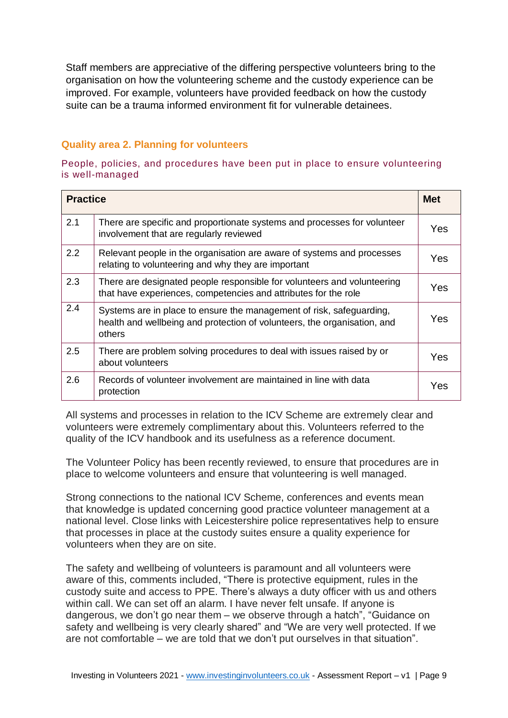Staff members are appreciative of the differing perspective volunteers bring to the organisation on how the volunteering scheme and the custody experience can be improved. For example, volunteers have provided feedback on how the custody suite can be a trauma informed environment fit for vulnerable detainees.

#### **Quality area 2. Planning for volunteers**

People, policies, and procedures have been put in place to ensure volunteering is well-managed

| <b>Practice</b> |                                                                                                                                                            | <b>Met</b> |
|-----------------|------------------------------------------------------------------------------------------------------------------------------------------------------------|------------|
| 2.1             | There are specific and proportionate systems and processes for volunteer<br>involvement that are regularly reviewed                                        | Yes        |
| 2.2             | Relevant people in the organisation are aware of systems and processes<br>relating to volunteering and why they are important                              | Yes        |
| 2.3             | There are designated people responsible for volunteers and volunteering<br>that have experiences, competencies and attributes for the role                 | Yes.       |
| 2.4             | Systems are in place to ensure the management of risk, safeguarding,<br>health and wellbeing and protection of volunteers, the organisation, and<br>others | Yes        |
| 2.5             | There are problem solving procedures to deal with issues raised by or<br>about volunteers                                                                  | Yes        |
| 2.6             | Records of volunteer involvement are maintained in line with data<br>protection                                                                            | Yes        |

All systems and processes in relation to the ICV Scheme are extremely clear and volunteers were extremely complimentary about this. Volunteers referred to the quality of the ICV handbook and its usefulness as a reference document.

The Volunteer Policy has been recently reviewed, to ensure that procedures are in place to welcome volunteers and ensure that volunteering is well managed.

Strong connections to the national ICV Scheme, conferences and events mean that knowledge is updated concerning good practice volunteer management at a national level. Close links with Leicestershire police representatives help to ensure that processes in place at the custody suites ensure a quality experience for volunteers when they are on site.

The safety and wellbeing of volunteers is paramount and all volunteers were aware of this, comments included, "There is protective equipment, rules in the custody suite and access to PPE. There's always a duty officer with us and others within call. We can set off an alarm. I have never felt unsafe. If anyone is dangerous, we don't go near them – we observe through a hatch", "Guidance on safety and wellbeing is very clearly shared" and "We are very well protected. If we are not comfortable – we are told that we don't put ourselves in that situation".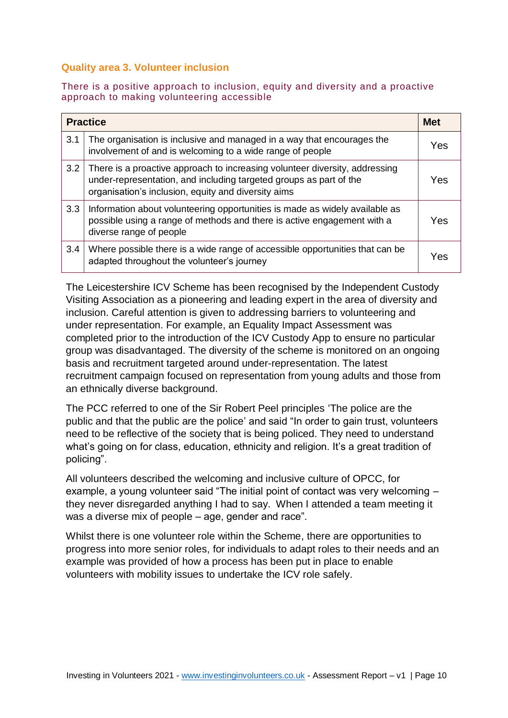#### **Quality area 3. Volunteer inclusion**

#### There is a positive approach to inclusion, equity and diversity and a proactive approach to making volunteering accessible

|     | <b>Practice</b>                                                                                                                                                                                          | <b>Met</b> |
|-----|----------------------------------------------------------------------------------------------------------------------------------------------------------------------------------------------------------|------------|
| 3.1 | The organisation is inclusive and managed in a way that encourages the<br>involvement of and is welcoming to a wide range of people                                                                      | Yes        |
| 3.2 | There is a proactive approach to increasing volunteer diversity, addressing<br>under-representation, and including targeted groups as part of the<br>organisation's inclusion, equity and diversity aims | Yes        |
| 3.3 | Information about volunteering opportunities is made as widely available as<br>possible using a range of methods and there is active engagement with a<br>diverse range of people                        | Yes        |
| 3.4 | Where possible there is a wide range of accessible opportunities that can be<br>adapted throughout the volunteer's journey                                                                               | Yes        |

The Leicestershire ICV Scheme has been recognised by the Independent Custody Visiting Association as a pioneering and leading expert in the area of diversity and inclusion. Careful attention is given to addressing barriers to volunteering and under representation. For example, an Equality Impact Assessment was completed prior to the introduction of the ICV Custody App to ensure no particular group was disadvantaged. The diversity of the scheme is monitored on an ongoing basis and recruitment targeted around under-representation. The latest recruitment campaign focused on representation from young adults and those from an ethnically diverse background.

The PCC referred to one of the Sir Robert Peel principles 'The police are the public and that the public are the police' and said "In order to gain trust, volunteers need to be reflective of the society that is being policed. They need to understand what's going on for class, education, ethnicity and religion. It's a great tradition of policing".

All volunteers described the welcoming and inclusive culture of OPCC, for example, a young volunteer said "The initial point of contact was very welcoming – they never disregarded anything I had to say. When I attended a team meeting it was a diverse mix of people – age, gender and race".

Whilst there is one volunteer role within the Scheme, there are opportunities to progress into more senior roles, for individuals to adapt roles to their needs and an example was provided of how a process has been put in place to enable volunteers with mobility issues to undertake the ICV role safely.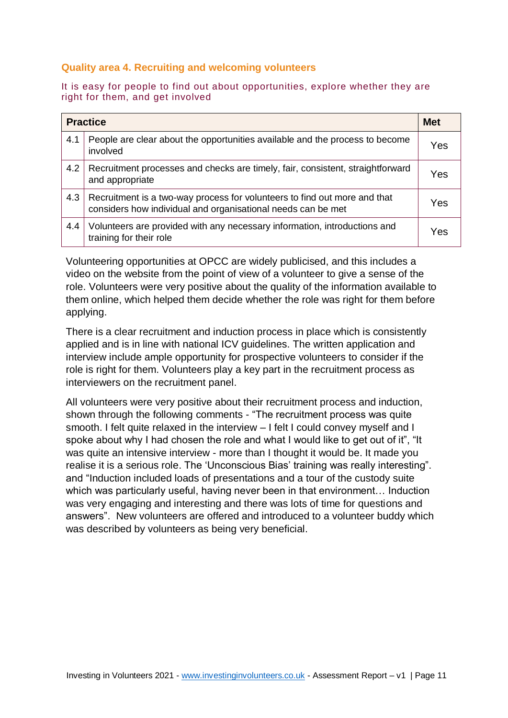#### **Quality area 4. Recruiting and welcoming volunteers**

#### It is easy for people to find out about opportunities, explore whether they are right for them, and get involved

|     | <b>Practice</b>                                                                                                                           | <b>Met</b> |
|-----|-------------------------------------------------------------------------------------------------------------------------------------------|------------|
| 4.1 | People are clear about the opportunities available and the process to become<br>involved                                                  | Yes        |
| 4.2 | Recruitment processes and checks are timely, fair, consistent, straightforward<br>and appropriate                                         | Yes        |
| 4.3 | Recruitment is a two-way process for volunteers to find out more and that<br>considers how individual and organisational needs can be met | Yes        |
| 4.4 | Volunteers are provided with any necessary information, introductions and<br>training for their role                                      | Yes        |

Volunteering opportunities at OPCC are widely publicised, and this includes a video on the website from the point of view of a volunteer to give a sense of the role. Volunteers were very positive about the quality of the information available to them online, which helped them decide whether the role was right for them before applying.

There is a clear recruitment and induction process in place which is consistently applied and is in line with national ICV guidelines. The written application and interview include ample opportunity for prospective volunteers to consider if the role is right for them. Volunteers play a key part in the recruitment process as interviewers on the recruitment panel.

All volunteers were very positive about their recruitment process and induction, shown through the following comments - "The recruitment process was quite smooth. I felt quite relaxed in the interview – I felt I could convey myself and I spoke about why I had chosen the role and what I would like to get out of it", "It was quite an intensive interview - more than I thought it would be. It made you realise it is a serious role. The 'Unconscious Bias' training was really interesting". and "Induction included loads of presentations and a tour of the custody suite which was particularly useful, having never been in that environment… Induction was very engaging and interesting and there was lots of time for questions and answers". New volunteers are offered and introduced to a volunteer buddy which was described by volunteers as being very beneficial.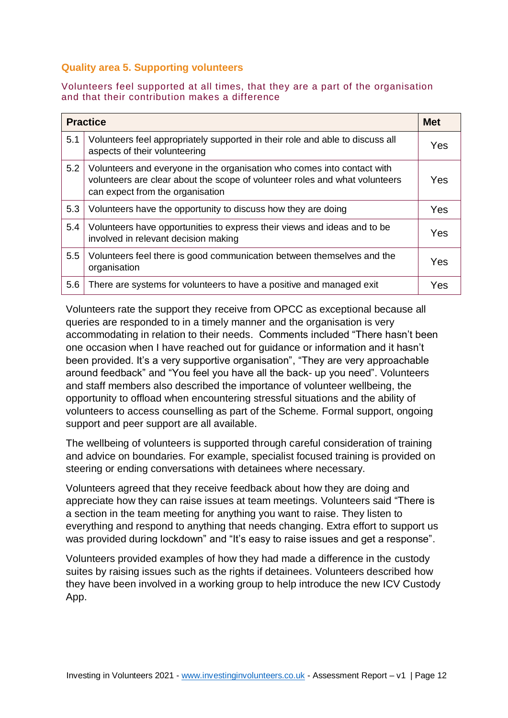#### **Quality area 5. Supporting volunteers**

#### Volunteers feel supported at all times, that they are a part of the organisation and that their contribution makes a difference

|     | <b>Practice</b>                                                                                                                                                                            | <b>Met</b> |
|-----|--------------------------------------------------------------------------------------------------------------------------------------------------------------------------------------------|------------|
| 5.1 | Volunteers feel appropriately supported in their role and able to discuss all<br>aspects of their volunteering                                                                             | Yes        |
| 5.2 | Volunteers and everyone in the organisation who comes into contact with<br>volunteers are clear about the scope of volunteer roles and what volunteers<br>can expect from the organisation | Yes        |
| 5.3 | Volunteers have the opportunity to discuss how they are doing                                                                                                                              | Yes        |
| 5.4 | Volunteers have opportunities to express their views and ideas and to be<br>involved in relevant decision making                                                                           | Yes        |
| 5.5 | Volunteers feel there is good communication between themselves and the<br>organisation                                                                                                     | Yes        |
| 5.6 | There are systems for volunteers to have a positive and managed exit                                                                                                                       | Yes        |

Volunteers rate the support they receive from OPCC as exceptional because all queries are responded to in a timely manner and the organisation is very accommodating in relation to their needs. Comments included "There hasn't been one occasion when I have reached out for guidance or information and it hasn't been provided. It's a very supportive organisation", "They are very approachable around feedback" and "You feel you have all the back- up you need". Volunteers and staff members also described the importance of volunteer wellbeing, the opportunity to offload when encountering stressful situations and the ability of volunteers to access counselling as part of the Scheme. Formal support, ongoing support and peer support are all available.

The wellbeing of volunteers is supported through careful consideration of training and advice on boundaries. For example, specialist focused training is provided on steering or ending conversations with detainees where necessary.

Volunteers agreed that they receive feedback about how they are doing and appreciate how they can raise issues at team meetings. Volunteers said "There is a section in the team meeting for anything you want to raise. They listen to everything and respond to anything that needs changing. Extra effort to support us was provided during lockdown" and "It's easy to raise issues and get a response".

Volunteers provided examples of how they had made a difference in the custody suites by raising issues such as the rights if detainees. Volunteers described how they have been involved in a working group to help introduce the new ICV Custody App.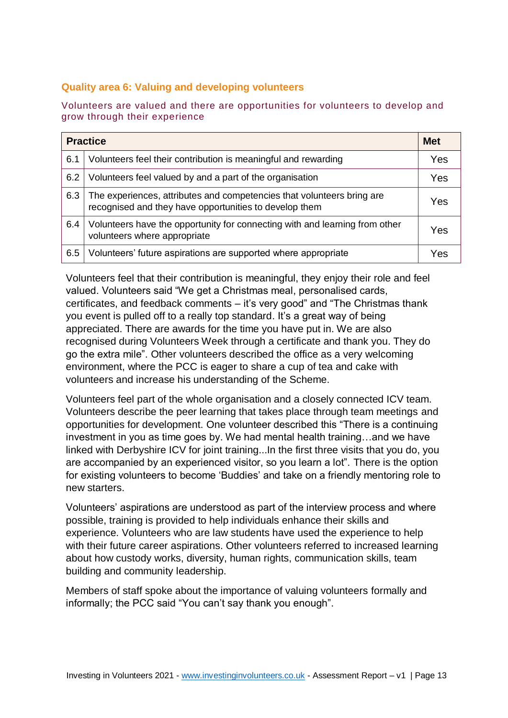#### **Quality area 6: Valuing and developing volunteers**

Volunteers are valued and there are opportunities for volunteers to develop and grow through their experience

| <b>Practice</b> |                                                                                                                                  | <b>Met</b> |
|-----------------|----------------------------------------------------------------------------------------------------------------------------------|------------|
| 6.1             | Volunteers feel their contribution is meaningful and rewarding                                                                   | Yes        |
| 6.2             | Volunteers feel valued by and a part of the organisation                                                                         | Yes        |
| 6.3             | The experiences, attributes and competencies that volunteers bring are<br>recognised and they have opportunities to develop them | Yes        |
| 6.4             | Volunteers have the opportunity for connecting with and learning from other<br>volunteers where appropriate                      | Yes        |
| 6.5             | Volunteers' future aspirations are supported where appropriate                                                                   | Yes        |

Volunteers feel that their contribution is meaningful, they enjoy their role and feel valued. Volunteers said "We get a Christmas meal, personalised cards, certificates, and feedback comments – it's very good" and "The Christmas thank you event is pulled off to a really top standard. It's a great way of being appreciated. There are awards for the time you have put in. We are also recognised during Volunteers Week through a certificate and thank you. They do go the extra mile". Other volunteers described the office as a very welcoming environment, where the PCC is eager to share a cup of tea and cake with volunteers and increase his understanding of the Scheme.

Volunteers feel part of the whole organisation and a closely connected ICV team. Volunteers describe the peer learning that takes place through team meetings and opportunities for development. One volunteer described this "There is a continuing investment in you as time goes by. We had mental health training…and we have linked with Derbyshire ICV for joint training...In the first three visits that you do, you are accompanied by an experienced visitor, so you learn a lot". There is the option for existing volunteers to become 'Buddies' and take on a friendly mentoring role to new starters.

Volunteers' aspirations are understood as part of the interview process and where possible, training is provided to help individuals enhance their skills and experience. Volunteers who are law students have used the experience to help with their future career aspirations. Other volunteers referred to increased learning about how custody works, diversity, human rights, communication skills, team building and community leadership.

Members of staff spoke about the importance of valuing volunteers formally and informally; the PCC said "You can't say thank you enough".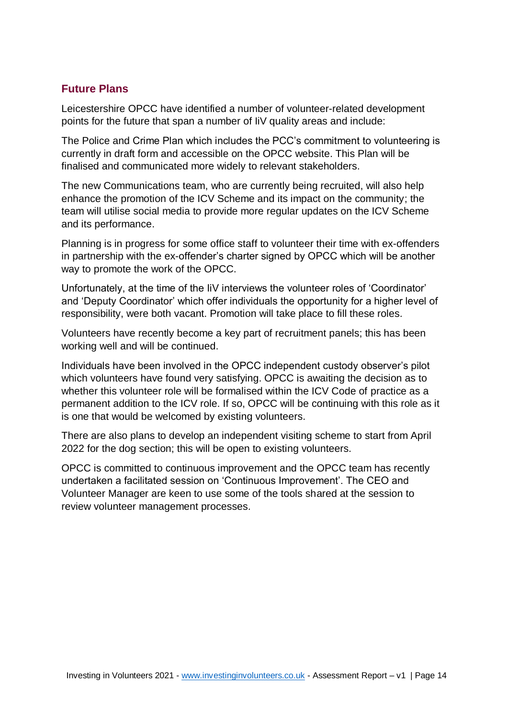#### **Future Plans**

Leicestershire OPCC have identified a number of volunteer-related development points for the future that span a number of IiV quality areas and include:

The Police and Crime Plan which includes the PCC's commitment to volunteering is currently in draft form and accessible on the OPCC website. This Plan will be finalised and communicated more widely to relevant stakeholders.

The new Communications team, who are currently being recruited, will also help enhance the promotion of the ICV Scheme and its impact on the community; the team will utilise social media to provide more regular updates on the ICV Scheme and its performance.

Planning is in progress for some office staff to volunteer their time with ex-offenders in partnership with the ex-offender's charter signed by OPCC which will be another way to promote the work of the OPCC.

Unfortunately, at the time of the IiV interviews the volunteer roles of 'Coordinator' and 'Deputy Coordinator' which offer individuals the opportunity for a higher level of responsibility, were both vacant. Promotion will take place to fill these roles.

Volunteers have recently become a key part of recruitment panels; this has been working well and will be continued.

Individuals have been involved in the OPCC independent custody observer's pilot which volunteers have found very satisfying. OPCC is awaiting the decision as to whether this volunteer role will be formalised within the ICV Code of practice as a permanent addition to the ICV role. If so, OPCC will be continuing with this role as it is one that would be welcomed by existing volunteers.

There are also plans to develop an independent visiting scheme to start from April 2022 for the dog section; this will be open to existing volunteers.

OPCC is committed to continuous improvement and the OPCC team has recently undertaken a facilitated session on 'Continuous Improvement'. The CEO and Volunteer Manager are keen to use some of the tools shared at the session to review volunteer management processes.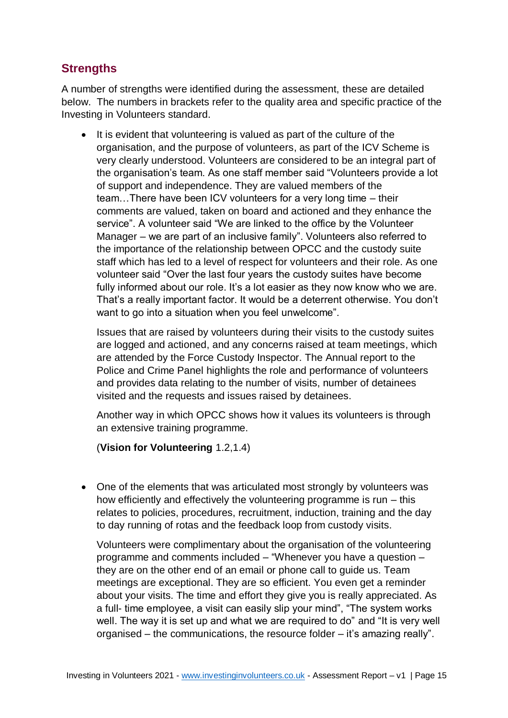# <span id="page-14-0"></span>**Strengths**

A number of strengths were identified during the assessment, these are detailed below. The numbers in brackets refer to the quality area and specific practice of the Investing in Volunteers standard.

• It is evident that volunteering is valued as part of the culture of the organisation, and the purpose of volunteers, as part of the ICV Scheme is very clearly understood. Volunteers are considered to be an integral part of the organisation's team. As one staff member said "Volunteers provide a lot of support and independence. They are valued members of the team…There have been ICV volunteers for a very long time – their comments are valued, taken on board and actioned and they enhance the service". A volunteer said "We are linked to the office by the Volunteer Manager – we are part of an inclusive family". Volunteers also referred to the importance of the relationship between OPCC and the custody suite staff which has led to a level of respect for volunteers and their role. As one volunteer said "Over the last four years the custody suites have become fully informed about our role. It's a lot easier as they now know who we are. That's a really important factor. It would be a deterrent otherwise. You don't want to go into a situation when you feel unwelcome".

Issues that are raised by volunteers during their visits to the custody suites are logged and actioned, and any concerns raised at team meetings, which are attended by the Force Custody Inspector. The Annual report to the Police and Crime Panel highlights the role and performance of volunteers and provides data relating to the number of visits, number of detainees visited and the requests and issues raised by detainees.

Another way in which OPCC shows how it values its volunteers is through an extensive training programme.

(**Vision for Volunteering** 1.2,1.4)

• One of the elements that was articulated most strongly by volunteers was how efficiently and effectively the volunteering programme is run – this relates to policies, procedures, recruitment, induction, training and the day to day running of rotas and the feedback loop from custody visits.

Volunteers were complimentary about the organisation of the volunteering programme and comments included – "Whenever you have a question – they are on the other end of an email or phone call to guide us. Team meetings are exceptional. They are so efficient. You even get a reminder about your visits. The time and effort they give you is really appreciated. As a full- time employee, a visit can easily slip your mind", "The system works well. The way it is set up and what we are required to do" and "It is very well organised – the communications, the resource folder – it's amazing really".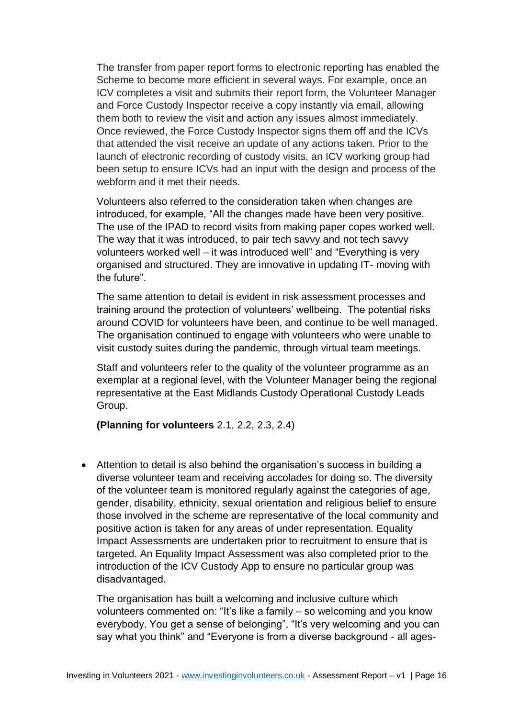The transfer from paper report forms to electronic reporting has enabled the Scheme to become more efficient in several ways. For example, once an ICV completes a visit and submits their report form, the Volunteer Manager and Force Custody Inspector receive a copy instantly via email, allowing them both to review the visit and action any issues almost immediately. Once reviewed, the Force Custody Inspector signs them off and the ICVs that attended the visit receive an update of any actions taken. Prior to the launch of electronic recording of custody visits, an ICV working group had been setup to ensure ICVs had an input with the design and process of the webform and it met their needs.

Volunteers also referred to the consideration taken when changes are introduced, for example, "All the changes made have been very positive. The use of the IPAD to record visits from making paper copes worked well. The way that it was introduced, to pair tech savvy and not tech savvy volunteers worked well – it was introduced well" and "Everything is very organised and structured. They are innovative in updating IT- moving with the future".

The same attention to detail is evident in risk assessment processes and training around the protection of volunteers' wellbeing. The potential risks around COVID for volunteers have been, and continue to be well managed. The organisation continued to engage with volunteers who were unable to visit custody suites during the pandemic, through virtual team meetings.

Staff and volunteers refer to the quality of the volunteer programme as an exemplar at a regional level, with the Volunteer Manager being the regional representative at the East Midlands Custody Operational Custody Leads Group.

**(Planning for volunteers** 2.1, 2.2, 2.3, 2.4)

• Attention to detail is also behind the organisation's success in building a diverse volunteer team and receiving accolades for doing so. The diversity of the volunteer team is monitored regularly against the categories of age, gender, disability, ethnicity, sexual orientation and religious belief to ensure those involved in the scheme are representative of the local community and positive action is taken for any areas of under representation. Equality Impact Assessments are undertaken prior to recruitment to ensure that is targeted. An Equality Impact Assessment was also completed prior to the introduction of the ICV Custody App to ensure no particular group was disadvantaged.

The organisation has built a welcoming and inclusive culture which volunteers commented on: "It's like a family – so welcoming and you know everybody. You get a sense of belonging", "It's very welcoming and you can say what you think" and "Everyone is from a diverse background - all ages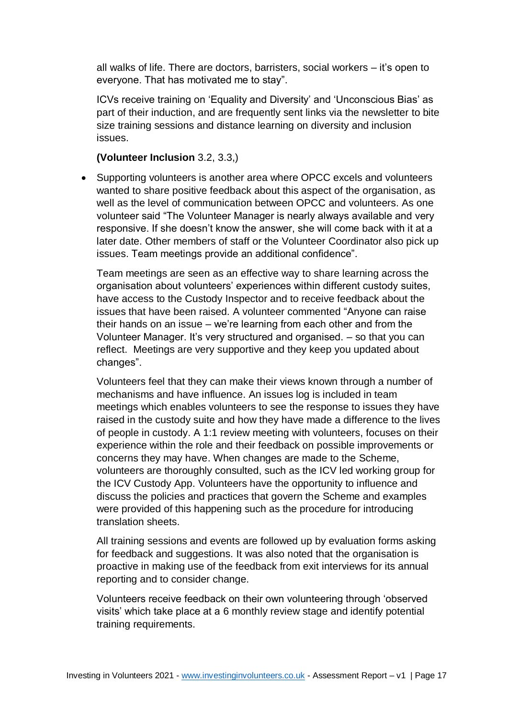all walks of life. There are doctors, barristers, social workers – it's open to everyone. That has motivated me to stay".

ICVs receive training on 'Equality and Diversity' and 'Unconscious Bias' as part of their induction, and are frequently sent links via the newsletter to bite size training sessions and distance learning on diversity and inclusion issues.

#### **(Volunteer Inclusion** 3.2, 3.3,)

• Supporting volunteers is another area where OPCC excels and volunteers wanted to share positive feedback about this aspect of the organisation, as well as the level of communication between OPCC and volunteers. As one volunteer said "The Volunteer Manager is nearly always available and very responsive. If she doesn't know the answer, she will come back with it at a later date. Other members of staff or the Volunteer Coordinator also pick up issues. Team meetings provide an additional confidence".

Team meetings are seen as an effective way to share learning across the organisation about volunteers' experiences within different custody suites, have access to the Custody Inspector and to receive feedback about the issues that have been raised. A volunteer commented "Anyone can raise their hands on an issue – we're learning from each other and from the Volunteer Manager. It's very structured and organised. – so that you can reflect. Meetings are very supportive and they keep you updated about changes".

Volunteers feel that they can make their views known through a number of mechanisms and have influence. An issues log is included in team meetings which enables volunteers to see the response to issues they have raised in the custody suite and how they have made a difference to the lives of people in custody. A 1:1 review meeting with volunteers, focuses on their experience within the role and their feedback on possible improvements or concerns they may have. When changes are made to the Scheme, volunteers are thoroughly consulted, such as the ICV led working group for the ICV Custody App. Volunteers have the opportunity to influence and discuss the policies and practices that govern the Scheme and examples were provided of this happening such as the procedure for introducing translation sheets.

All training sessions and events are followed up by evaluation forms asking for feedback and suggestions. It was also noted that the organisation is proactive in making use of the feedback from exit interviews for its annual reporting and to consider change.

Volunteers receive feedback on their own volunteering through 'observed visits' which take place at a 6 monthly review stage and identify potential training requirements.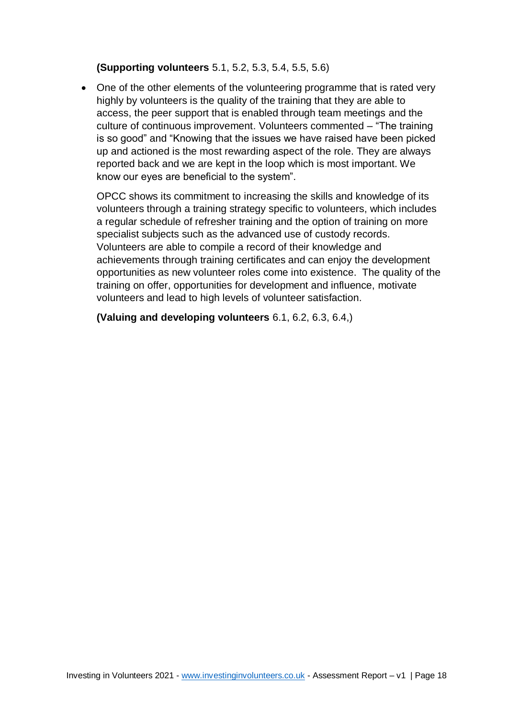#### **(Supporting volunteers** 5.1, 5.2, 5.3, 5.4, 5.5, 5.6)

• One of the other elements of the volunteering programme that is rated very highly by volunteers is the quality of the training that they are able to access, the peer support that is enabled through team meetings and the culture of continuous improvement. Volunteers commented – "The training is so good" and "Knowing that the issues we have raised have been picked up and actioned is the most rewarding aspect of the role. They are always reported back and we are kept in the loop which is most important. We know our eyes are beneficial to the system".

OPCC shows its commitment to increasing the skills and knowledge of its volunteers through a training strategy specific to volunteers, which includes a regular schedule of refresher training and the option of training on more specialist subjects such as the advanced use of custody records. Volunteers are able to compile a record of their knowledge and achievements through training certificates and can enjoy the development opportunities as new volunteer roles come into existence. The quality of the training on offer, opportunities for development and influence, motivate volunteers and lead to high levels of volunteer satisfaction.

**(Valuing and developing volunteers** 6.1, 6.2, 6.3, 6.4,)